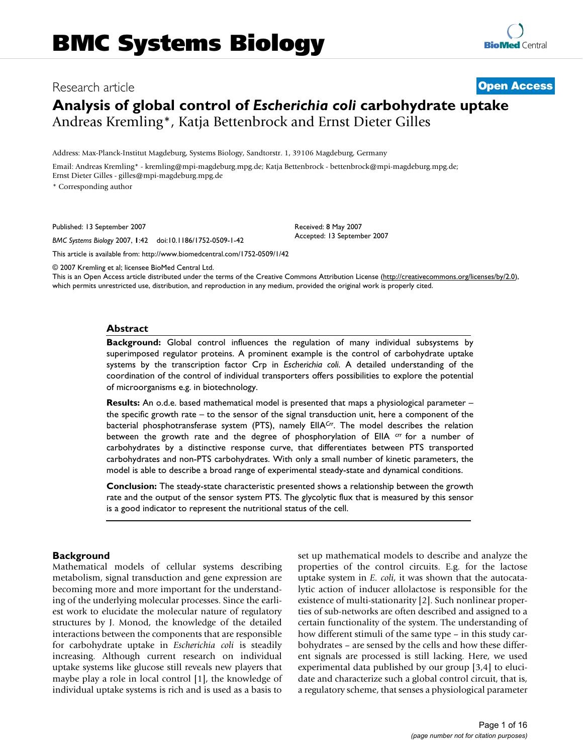# Research article **[Open Access](http://www.biomedcentral.com/info/about/charter/)**

# **Analysis of global control of** *Escherichia coli* **carbohydrate uptake** Andreas Kremling\*, Katja Bettenbrock and Ernst Dieter Gilles

Address: Max-Planck-Institut Magdeburg, Systems Biology, Sandtorstr. 1, 39106 Magdeburg, Germany

Email: Andreas Kremling\* - kremling@mpi-magdeburg.mpg.de; Katja Bettenbrock - bettenbrock@mpi-magdeburg.mpg.de; Ernst Dieter Gilles - gilles@mpi-magdeburg.mpg.de

\* Corresponding author

Published: 13 September 2007

*BMC Systems Biology* 2007, **1**:42 doi:10.1186/1752-0509-1-42

[This article is available from: http://www.biomedcentral.com/1752-0509/1/42](http://www.biomedcentral.com/1752-0509/1/42)

© 2007 Kremling et al; licensee BioMed Central Ltd.

This is an Open Access article distributed under the terms of the Creative Commons Attribution License [\(http://creativecommons.org/licenses/by/2.0\)](http://creativecommons.org/licenses/by/2.0), which permits unrestricted use, distribution, and reproduction in any medium, provided the original work is properly cited.

Received: 8 May 2007 Accepted: 13 September 2007

#### **Abstract**

**Background:** Global control influences the regulation of many individual subsystems by superimposed regulator proteins. A prominent example is the control of carbohydrate uptake systems by the transcription factor Crp in *Escherichia coli*. A detailed understanding of the coordination of the control of individual transporters offers possibilities to explore the potential of microorganisms e.g. in biotechnology.

**Results:** An o.d.e. based mathematical model is presented that maps a physiological parameter – the specific growth rate – to the sensor of the signal transduction unit, here a component of the bacterial phosphotransferase system (PTS), namely EIIA*Crr*. The model describes the relation between the growth rate and the degree of phosphorylation of EIIA *crr* for a number of carbohydrates by a distinctive response curve, that differentiates between PTS transported carbohydrates and non-PTS carbohydrates. With only a small number of kinetic parameters, the model is able to describe a broad range of experimental steady-state and dynamical conditions.

**Conclusion:** The steady-state characteristic presented shows a relationship between the growth rate and the output of the sensor system PTS. The glycolytic flux that is measured by this sensor is a good indicator to represent the nutritional status of the cell.

# **Background**

Mathematical models of cellular systems describing metabolism, signal transduction and gene expression are becoming more and more important for the understanding of the underlying molecular processes. Since the earliest work to elucidate the molecular nature of regulatory structures by J. Monod, the knowledge of the detailed interactions between the components that are responsible for carbohydrate uptake in *Escherichia coli* is steadily increasing. Although current research on individual uptake systems like glucose still reveals new players that maybe play a role in local control [1], the knowledge of individual uptake systems is rich and is used as a basis to set up mathematical models to describe and analyze the properties of the control circuits. E.g. for the lactose uptake system in *E. coli*, it was shown that the autocatalytic action of inducer allolactose is responsible for the existence of multi-stationarity [2]. Such nonlinear properties of sub-networks are often described and assigned to a certain functionality of the system. The understanding of how different stimuli of the same type – in this study carbohydrates – are sensed by the cells and how these different signals are processed is still lacking. Here, we used experimental data published by our group [3[,4\]](#page-14-0) to elucidate and characterize such a global control circuit, that is, a regulatory scheme, that senses a physiological parameter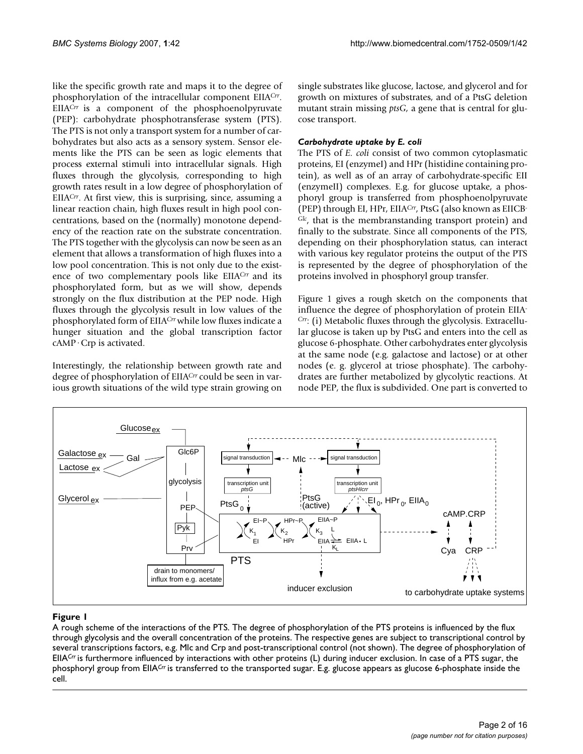like the specific growth rate and maps it to the degree of phosphorylation of the intracellular component EIIA*Crr*. EIIA*Crr* is a component of the phosphoenolpyruvate (PEP): carbohydrate phosphotransferase system (PTS). The PTS is not only a transport system for a number of carbohydrates but also acts as a sensory system. Sensor elements like the PTS can be seen as logic elements that process external stimuli into intracellular signals. High fluxes through the glycolysis, corresponding to high growth rates result in a low degree of phosphorylation of EIIA*Crr*. At first view, this is surprising, since, assuming a linear reaction chain, high fluxes result in high pool concentrations, based on the (normally) monotone dependency of the reaction rate on the substrate concentration. The PTS together with the glycolysis can now be seen as an element that allows a transformation of high fluxes into a low pool concentration. This is not only due to the existence of two complementary pools like EIIA*Crr* and its phosphorylated form, but as we will show, depends strongly on the flux distribution at the PEP node. High fluxes through the glycolysis result in low values of the phosphorylated form of EIIA*Crr* while low fluxes indicate a hunger situation and the global transcription factor cAMP·Crp is activated.

Interestingly, the relationship between growth rate and degree of phosphorylation of EIIA*Crr* could be seen in various growth situations of the wild type strain growing on single substrates like glucose, lactose, and glycerol and for growth on mixtures of substrates, and of a PtsG deletion mutant strain missing *ptsG*, a gene that is central for glucose transport.

# *Carbohydrate uptake by E. coli*

The PTS of *E. coli* consist of two common cytoplasmatic proteins, EI (enzymeI) and HPr (histidine containing protein), as well as of an array of carbohydrate-specific EII (enzymeII) complexes. E.g. for glucose uptake, a phosphoryl group is transferred from phosphoenolpyruvate (PEP) through EI, HPr, EIIA*Crr*, PtsG (also known as EIICB-*Glc*, that is the membranstanding transport protein) and finally to the substrate. Since all components of the PTS, depending on their phosphorylation status, can interact with various key regulator proteins the output of the PTS is represented by the degree of phosphorylation of the proteins involved in phosphoryl group transfer.

Figure 1 gives a rough sketch on the components that influence the degree of phosphorylation of protein EIIA-*Crr*: (i) Metabolic fluxes through the glycolysis. Extracellular glucose is taken up by PtsG and enters into the cell as glucose 6-phosphate. Other carbohydrates enter glycolysis at the same node (e.g. galactose and lactose) or at other nodes (e. g. glycerol at triose phosphate). The carbohydrates are further metabolized by glycolytic reactions. At node PEP, the flux is subdivided. One part is converted to



# **Figure 1**

A rough scheme of the interactions of the PTS. The degree of phosphorylation of the PTS proteins is influenced by the flux through glycolysis and the overall concentration of the proteins. The respective genes are subject to transcriptional control by several transcriptions factors, e.g. Mlc and Crp and post-transcriptional control (not shown). The degree of phosphorylation of EIIA*Crr* is furthermore influenced by interactions with other proteins (L) during inducer exclusion. In case of a PTS sugar, the phosphoryl group from EIIA*Crr* is transferred to the transported sugar. E.g. glucose appears as glucose 6-phosphate inside the cell.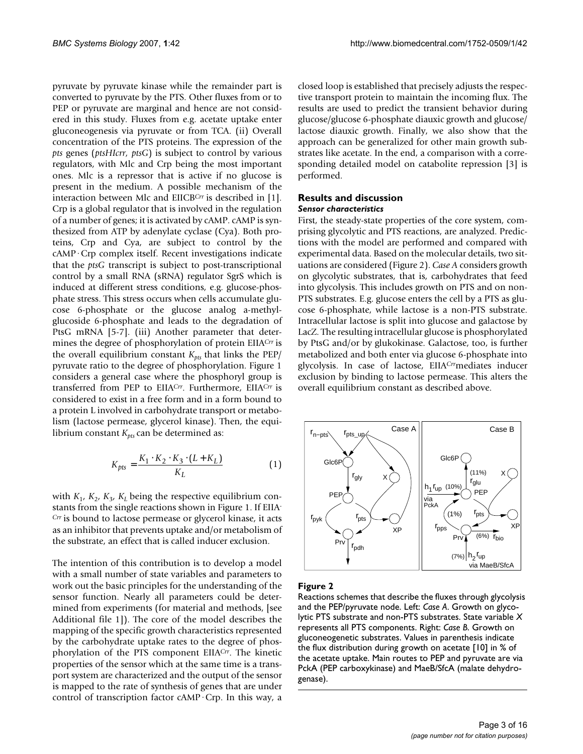pyruvate by pyruvate kinase while the remainder part is converted to pyruvate by the PTS. Other fluxes from or to PEP or pyruvate are marginal and hence are not considered in this study. Fluxes from e.g. acetate uptake enter gluconeogenesis via pyruvate or from TCA. (ii) Overall concentration of the PTS proteins. The expression of the *pts* genes (*ptsHIcrr, ptsG*) is subject to control by various regulators, with Mlc and Crp being the most important ones. Mlc is a repressor that is active if no glucose is present in the medium. A possible mechanism of the interaction between Mlc and EIICB*Crr* is described in [1]. Crp is a global regulator that is involved in the regulation of a number of genes; it is activated by cAMP. cAMP is synthesized from ATP by adenylate cyclase (Cya). Both proteins, Crp and Cya, are subject to control by the cAMP·Crp complex itself. Recent investigations indicate that the *ptsG* transcript is subject to post-transcriptional control by a small RNA (sRNA) regulator SgrS which is induced at different stress conditions, e.g. glucose-phosphate stress. This stress occurs when cells accumulate glucose 6-phosphate or the glucose analog a-methylglucoside 6-phosphate and leads to the degradation of PtsG mRNA [5-7]. (iii) Another parameter that determines the degree of phosphorylation of protein EIIA*Crr* is the overall equilibrium constant  $K_{\text{pts}}$  that links the PEP/ pyruvate ratio to the degree of phosphorylation. Figure 1 considers a general case where the phosphoryl group is transferred from PEP to EIIA*Crr*. Furthermore, EIIA*Crr* is considered to exist in a free form and in a form bound to a protein L involved in carbohydrate transport or metabolism (lactose permease, glycerol kinase). Then, the equilibrium constant  $K_{pts}$  can be determined as:

$$
K_{pts} = \frac{K_1 \cdot K_2 \cdot K_3 \cdot (L + K_L)}{K_L} \tag{1}
$$

with  $K_1$ ,  $K_2$ ,  $K_3$ ,  $K_L$  being the respective equilibrium constants from the single reactions shown in Figure 1. If EIIA-*Crr* is bound to lactose permease or glycerol kinase, it acts as an inhibitor that prevents uptake and/or metabolism of the substrate, an effect that is called inducer exclusion.

The intention of this contribution is to develop a model with a small number of state variables and parameters to work out the basic principles for the understanding of the sensor function. Nearly all parameters could be determined from experiments (for material and methods, [see Additional file 1]). The core of the model describes the mapping of the specific growth characteristics represented by the carbohydrate uptake rates to the degree of phosphorylation of the PTS component EIIA*Crr*. The kinetic properties of the sensor which at the same time is a transport system are characterized and the output of the sensor is mapped to the rate of synthesis of genes that are under control of transcription factor cAMP·Crp. In this way, a

closed loop is established that precisely adjusts the respective transport protein to maintain the incoming flux. The results are used to predict the transient behavior during glucose/glucose 6-phosphate diauxic growth and glucose/ lactose diauxic growth. Finally, we also show that the approach can be generalized for other main growth substrates like acetate. In the end, a comparison with a corresponding detailed model on catabolite repression [3] is performed.

## **Results and discussion** *Sensor characteristics*

First, the steady-state properties of the core system, comprising glycolytic and PTS reactions, are analyzed. Predictions with the model are performed and compared with experimental data. Based on the molecular details, two situations are considered (Figure 2). *Case A* considers growth on glycolytic substrates, that is, carbohydrates that feed into glycolysis. This includes growth on PTS and on non-PTS substrates. E.g. glucose enters the cell by a PTS as glucose 6-phosphate, while lactose is a non-PTS substrate. Intracellular lactose is split into glucose and galactose by LacZ. The resulting intracellular glucose is phosphorylated by PtsG and/or by glukokinase. Galactose, too, is further metabolized and both enter via glucose 6-phosphate into glycolysis. In case of lactose, EIIA*Crr*mediates inducer exclusion by binding to lactose permease. This alters the overall equilibrium constant as described above.



# Figure 2

Reactions schemes that describe the fluxes through glycolysis and the PEP/pyruvate node. Left: *Case A*. Growth on glycolytic PTS substrate and non-PTS substrates. State variable *X*  represents all PTS components. Right: *Case B*. Growth on gluconeogenetic substrates. Values in parenthesis indicate the flux distribution during growth on acetate [10] in % of the acetate uptake. Main routes to PEP and pyruvate are via PckA (PEP carboxykinase) and MaeB/SfcA (malate dehydrogenase).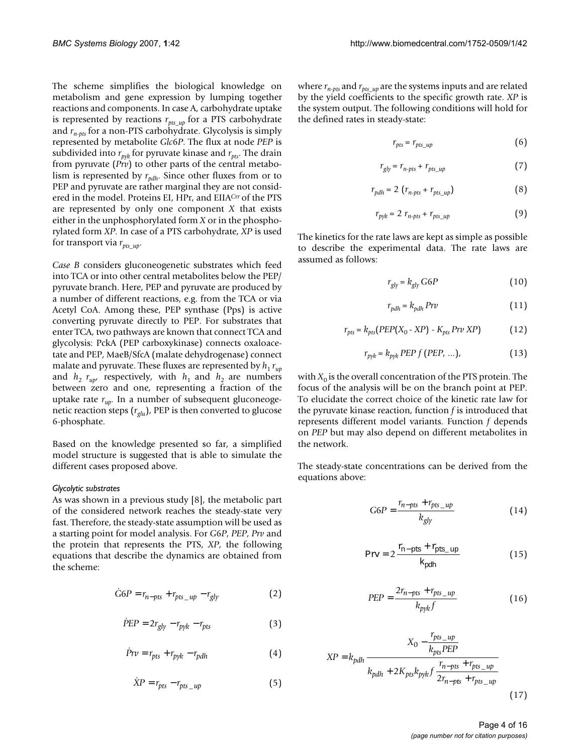The scheme simplifies the biological knowledge on metabolism and gene expression by lumping together reactions and components. In case A, carbohydrate uptake is represented by reactions  $r_{pts\_up}$  for a PTS carbohydrate and *rn*-*pts* for a non-PTS carbohydrate. Glycolysis is simply represented by metabolite *Glc*6*P*. The flux at node *PEP* is subdivided into  $r_{\text{ov}k}$  for pyruvate kinase and  $r_{\text{obs}}$ . The drain from pyruvate (*Prv*) to other parts of the central metabolism is represented by  $r_{pdh}$ . Since other fluxes from or to PEP and pyruvate are rather marginal they are not considered in the model. Proteins EI, HPr, and EIIA*Crr* of the PTS are represented by only one component *X* that exists either in the unphosphorylated form *X* or in the phosphorylated form *XP*. In case of a PTS carbohydrate, *XP* is used for transport via  $r_{pts\_up}$ .

*Case B* considers gluconeogenetic substrates which feed into TCA or into other central metabolites below the PEP/ pyruvate branch. Here, PEP and pyruvate are produced by a number of different reactions, e.g. from the TCA or via Acetyl CoA. Among these, PEP synthase (Pps) is active converting pyruvate directly to PEP. For substrates that enter TCA, two pathways are known that connect TCA and glycolysis: PckA (PEP carboxykinase) connects oxaloacetate and PEP, MaeB/SfcA (malate dehydrogenase) connect malate and pyruvate. These fluxes are represented by  $h_1 r_{up}$ and  $h_2$   $r_{\mu\nu}$ , respectively, with  $h_1$  and  $h_2$  are numbers between zero and one, representing a fraction of the uptake rate *rup*. In a number of subsequent gluconeogenetic reaction steps  $(r_{glu})$ , PEP is then converted to glucose 6-phosphate.

Based on the knowledge presented so far, a simplified model structure is suggested that is able to simulate the different cases proposed above.

#### *Glycolytic substrates*

As was shown in a previous study [8], the metabolic part of the considered network reaches the steady-state very fast. Therefore, the steady-state assumption will be used as a starting point for model analysis. For *G*6*P*, *PEP*, *Prv* and the protein that represents the PTS, *XP*, the following equations that describe the dynamics are obtained from the scheme:

$$
\dot{G}GP = r_{n-pts} + r_{pts \_up} - r_{gly} \tag{2}
$$

$$
\dot{P}EP = 2r_{gly} - r_{pyk} - r_{pts} \tag{3}
$$

$$
\dot{P}rv = r_{pts} + r_{pyk} - r_{pdh} \tag{4}
$$

$$
\dot{X}P = r_{pts} - r_{pts\_up} \tag{5}
$$

where  $r_{n-pts}$  and  $r_{pts\_up}$  are the systems inputs and are related by the yield coefficients to the specific growth rate. *XP* is the system output. The following conditions will hold for the defined rates in steady-state:

$$
r_{pts} = r_{pts\_up}
$$
 (6)

$$
r_{gly} = r_{n-pts} + r_{pts\_up}
$$
 (7)

$$
r_{pdh} = 2 \left( r_{n-pts} + r_{pts\_up} \right) \tag{8}
$$

$$
r_{\text{pyk}} = 2 \ r_{n\text{-pts}} + r_{\text{pts\_up}} \tag{9}
$$

The kinetics for the rate laws are kept as simple as possible to describe the experimental data. The rate laws are assumed as follows:

$$
r_{gly} = k_{gly} G6P \tag{10}
$$

$$
r_{pdh} = k_{pdh} Prv \tag{11}
$$

$$
r_{pts} = k_{pts}(PEP(X_0 - XP) - K_{pts} Prv XP)
$$
 (12)

$$
r_{pyk} = k_{pyk} PEP f (PEP, ...),
$$
 (13)

with  $X_0$  is the overall concentration of the PTS protein. The focus of the analysis will be on the branch point at PEP. To elucidate the correct choice of the kinetic rate law for the pyruvate kinase reaction, function *f* is introduced that represents different model variants. Function *f* depends on *PEP* but may also depend on different metabolites in the network.

The steady-state concentrations can be derived from the equations above:

$$
G6P = \frac{r_{n-pts} + r_{pts\_up}}{k_{gly}}
$$
\n(14)

$$
Prv = 2 \frac{r_{n-pts} + r_{pts\_up}}{k_{pdh}}
$$
 (15)

$$
PEP = \frac{2r_{n-pts} + r_{pts\_up}}{k_{pyk}f}
$$
\n(16)

$$
X_0 - \frac{r_{pts\_up}}{k_{pts}PEP}
$$
  

$$
XP = k_{pdh} \frac{k_{pth} + 2K_{pts}k_{pyk}f\frac{r_{n-pts} + r_{pts\_up}}{2r_{n-pts} + r_{pts\_up}}}{2r_{n-pts} + r_{pts\_up}}
$$
(17)

Page 4 of 16 *(page number not for citation purposes)*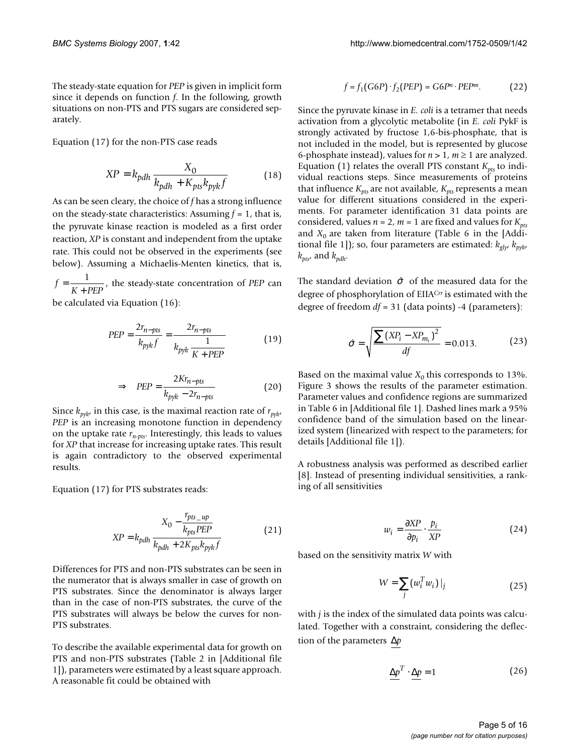The steady-state equation for *PEP* is given in implicit form since it depends on function *f*. In the following, growth situations on non-PTS and PTS sugars are considered separately.

Equation (17) for the non-PTS case reads

$$
XP = k_{pdh} \frac{X_0}{k_{pdh} + K_{pts} k_{pyk} f}
$$
 (18)

As can be seen cleary, the choice of *f* has a strong influence on the steady-state characteristics: Assuming  $f = 1$ , that is, the pyruvate kinase reaction is modeled as a first order reaction, *XP* is constant and independent from the uptake rate. This could not be observed in the experiments (see below). Assuming a Michaelis-Menten kinetics, that is,  $f = \frac{1}{K + PEP}$ , the steady-state concentration of *PEP* can

be calculated via Equation (16):

$$
PEP = \frac{2r_{n-pts}}{k_{pyk}f} = \frac{2r_{n-pts}}{k_{pyk}\frac{1}{K + PEP}}
$$
(19)

$$
\Rightarrow \quad PEP = \frac{2Kr_{n-pts}}{k_{pyk} - 2r_{n-pts}} \tag{20}
$$

Since  $k_{pykv}$  in this case, is the maximal reaction rate of  $r_{pykv}$ PEP is an increasing monotone function in dependency on the uptake rate  $r_{n-pts}$ . Interestingly, this leads to values for *XP* that increase for increasing uptake rates. This result is again contradictory to the observed experimental results.

Equation (17) for PTS substrates reads:

$$
XP = k_{pdh} \frac{X_0 - \frac{r_{pts\_up}}{k_{pts} P E P}}{k_{pdh} + 2K_{pts} k_{pyk} f}
$$
(21)

Differences for PTS and non-PTS substrates can be seen in the numerator that is always smaller in case of growth on PTS substrates. Since the denominator is always larger than in the case of non-PTS substrates, the curve of the PTS substrates will always be below the curves for non-PTS substrates.

To describe the available experimental data for growth on PTS and non-PTS substrates (Table 2 in [Additional file 1]), parameters were estimated by a least square approach. A reasonable fit could be obtained with

$$
f = f_1(G6P) \cdot f_2(PEP) = G6P^n \cdot PEP^m. \tag{22}
$$

Since the pyruvate kinase in *E. coli* is a tetramer that needs activation from a glycolytic metabolite (in *E. coli* PykF is strongly activated by fructose 1,6-bis-phosphate, that is not included in the model, but is represented by glucose 6-phosphate instead), values for  $n > 1$ ,  $m \ge 1$  are analyzed. Equation (1) relates the overall PTS constant  $K_{pts}$  to individual reactions steps. Since measurements of proteins that influence  $K_{\text{pts}}$  are not available,  $K_{\text{pts}}$  represents a mean value for different situations considered in the experiments. For parameter identification 31 data points are considered, values  $n = 2$ ,  $m = 1$  are fixed and values for  $K_{pts}$ and  $X_0$  are taken from literature (Table 6 in the [Additional file 1]); so, four parameters are estimated:  $k_{gly}$ ,  $k_{pyk}$ ,  $k_{pts}$ , and  $k_{pdh}$ .

The standard deviation  $\hat{\sigma}$  of the measured data for the degree of phosphorylation of EIIA*Crr* is estimated with the degree of freedom *df* = 31 (data points) -4 (parameters):

$$
\hat{\sigma} = \sqrt{\frac{\sum (XP_i - XP_{m_i})^2}{df}} = 0.013. \tag{23}
$$

Based on the maximal value  $X_0$  this corresponds to 13%. Figure 3 shows the results of the parameter estimation. Parameter values and confidence regions are summarized in Table 6 in [Additional file 1]. Dashed lines mark a 95% confidence band of the simulation based on the linearized system (linearized with respect to the parameters; for details [Additional file 1]).

A robustness analysis was performed as described earlier [8]. Instead of presenting individual sensitivities, a ranking of all sensitivities

$$
w_i = \frac{\partial XP}{\partial p_i} \cdot \frac{p_i}{XP}
$$
 (24)

based on the sensitivity matrix *W* with

$$
W = \sum_{j} \left( w_i^T w_i \right) \big|_{j} \tag{25}
$$

with *j* is the index of the simulated data points was calculated. Together with a constraint, considering the deflection of the parameters ∆*p*

$$
\underline{\Delta p}^T \cdot \underline{\Delta p} = 1 \tag{26}
$$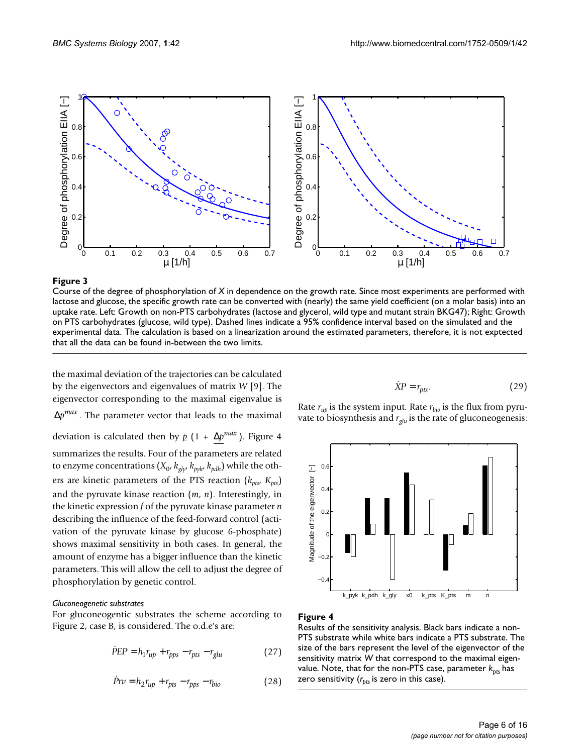

# Course of the degree **Figure 3** of phosphorylation of *X* in dependence on the growth rate

Course of the degree of phosphorylation of *X* in dependence on the growth rate. Since most experiments are performed with lactose and glucose, the specific growth rate can be converted with (nearly) the same yield coefficient (on a molar basis) into an uptake rate. Left: Growth on non-PTS carbohydrates (lactose and glycerol, wild type and mutant strain BKG47); Right: Growth on PTS carbohydrates (glucose, wild type). Dashed lines indicate a 95% confidence interval based on the simulated and the experimental data. The calculation is based on a linearization around the estimated parameters, therefore, it is not exptected that all the data can be found in-between the two limits.

the maximal deviation of the trajectories can be calculated by the eigenvectors and eigenvalues of matrix *W* [9]. The eigenvector corresponding to the maximal eigenvalue is  $\Delta p^{max}$ . The parameter vector that leads to the maximal deviation is calculated then by  $p(1 + \Delta p^{max})$ . Figure 4 summarizes the results. Four of the parameters are related to enzyme concentrations  $(X_0, k_{gly}, k_{pyk}, k_{pdh})$  while the others are kinetic parameters of the PTS reaction  $(k_{\text{pts}}, K_{\text{pts}})$ and the pyruvate kinase reaction (*m*, *n*). Interestingly, in the kinetic expression *f* of the pyruvate kinase parameter *n* describing the influence of the feed-forward control (activation of the pyruvate kinase by glucose 6-phosphate) shows maximal sensitivity in both cases. In general, the amount of enzyme has a bigger influence than the kinetic parameters. This will allow the cell to adjust the degree of phosphorylation by genetic control.

#### *Gluconeogenetic substrates*

For gluconeogentic substrates the scheme according to Figure 2, case B, is considered. The o.d.e's are:

$$
\dot{P}EP = h_1 r_{up} + r_{pps} - r_{pts} - r_{glu} \tag{27}
$$

$$
\dot{P}rv = h_2r_{up} + r_{pts} - r_{pps} - r_{bio}
$$
 (28)

$$
\dot{X}P = r_{pts}.\tag{29}
$$

Rate  $r_{up}$  is the system input. Rate  $r_{bio}$  is the flux from pyruvate to biosynthesis and  $r_{glu}$  is the rate of glucone ogenesis:



#### **Figure 4**

Results of the sensitivity analysis. Black bars indicate a non-PTS substrate while white bars indicate a PTS substrate. The size of the bars represent the level of the eigenvector of the sensitivity matrix *W* that correspond to the maximal eigenvalue. Note, that for the non-PTS case, parameter  $k_{\text{pts}}$  has zero sensitivity ( $r_{pts}$  is zero in this case).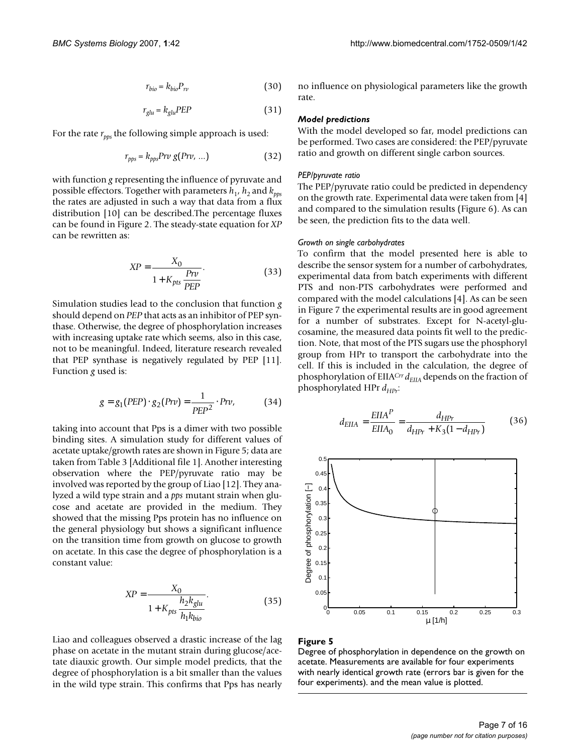$$
r_{bio} = k_{bio} P_{rv} \tag{30}
$$

$$
r_{glu} = k_{glu} P E P \tag{31}
$$

For the rate  $r_{\text{pps}}$  the following simple approach is used:

$$
r_{\text{pps}} = k_{\text{pps}} Prv g(Prv, \ldots) \tag{32}
$$

with function *g* representing the influence of pyruvate and possible effectors. Together with parameters  $h_1$ ,  $h_2$  and  $k_{\text{obs}}$ the rates are adjusted in such a way that data from a flux distribution [10] can be described.The percentage fluxes can be found in Figure 2. The steady-state equation for *XP* can be rewritten as:

$$
XP = \frac{X_0}{1 + K_{pts} \frac{Prv}{PEP}}.
$$
\n(33)

Simulation studies lead to the conclusion that function *g* should depend on *PEP* that acts as an inhibitor of PEP synthase. Otherwise, the degree of phosphorylation increases with increasing uptake rate which seems, also in this case, not to be meaningful. Indeed, literature research revealed that PEP synthase is negatively regulated by PEP [11]. Function *g* used is:

$$
g = g_1(PEP) \cdot g_2(P\tau v) = \frac{1}{PEP^2} \cdot Prv,\tag{34}
$$

taking into account that Pps is a dimer with two possible binding sites. A simulation study for different values of acetate uptake/growth rates are shown in Figure 5; data are taken from Table 3 [Additional file 1]. Another interesting observation where the PEP/pyruvate ratio may be involved was reported by the group of Liao [12]. They analyzed a wild type strain and a *pps* mutant strain when glucose and acetate are provided in the medium. They showed that the missing Pps protein has no influence on the general physiology but shows a significant influence on the transition time from growth on glucose to growth on acetate. In this case the degree of phosphorylation is a constant value:

$$
XP = \frac{X_0}{1 + K_{pts}} \frac{h_2 k_{glu}}{h_1 k_{bio}}.\tag{35}
$$

Liao and colleagues observed a drastic increase of the lag phase on acetate in the mutant strain during glucose/acetate diauxic growth. Our simple model predicts, that the degree of phosphorylation is a bit smaller than the values in the wild type strain. This confirms that Pps has nearly no influence on physiological parameters like the growth rate.

#### *Model predictions*

With the model developed so far, model predictions can be performed. Two cases are considered: the PEP/pyruvate ratio and growth on different single carbon sources.

#### *PEP/pyruvate ratio*

The PEP/pyruvate ratio could be predicted in dependency on the growth rate. Experimental data were taken from [\[4\]](#page-14-0) and compared to the simulation results (Figure 6). As can be seen, the prediction fits to the data well.

#### *Growth on single carbohydrates*

To confirm that the model presented here is able to describe the sensor system for a number of carbohydrates, experimental data from batch experiments with different PTS and non-PTS carbohydrates were performed and compared with the model calculations [\[4](#page-14-0)]. As can be seen in Figure 7 the experimental results are in good agreement for a number of substrates. Except for N-acetyl-glucosamine, the measured data points fit well to the prediction. Note, that most of the PTS sugars use the phosphoryl group from HPr to transport the carbohydrate into the cell. If this is included in the calculation, the degree of phosphorylation of EIIA<sup>Crr</sup> d<sub>EIIA</sub> depends on the fraction of phosphorylated HPr  $d_{HPr}$ :

$$
d_{EIIA} = \frac{EIIA^P}{EIIA_0} = \frac{d_{HPr}}{d_{HPr} + K_3(1 - d_{HPr})}
$$
(36)



#### **Figure 5**

Degree of phosphorylation in dependence on the growth on acetate. Measurements are available for four experiments with nearly identical growth rate (errors bar is given for the four experiments). and the mean value is plotted.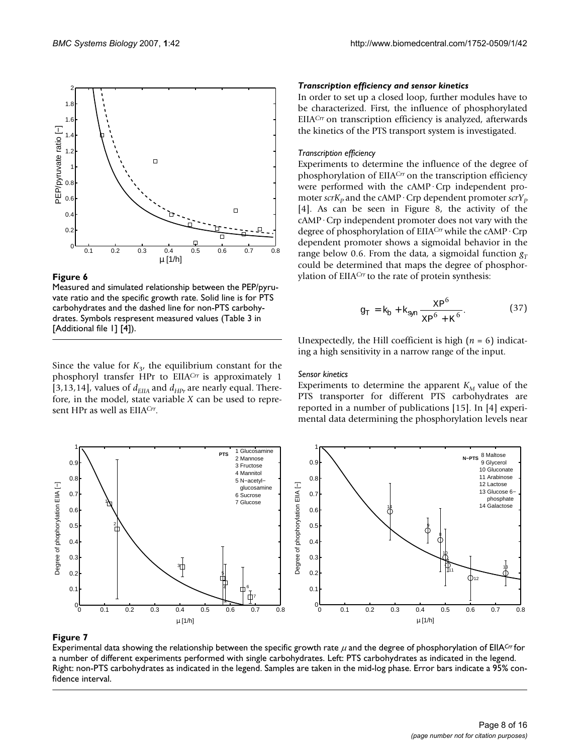

# Figure 6

Measured and simulated relationship between the PEP/pyruvate ratio and the specific growth rate. Solid line is for PTS carbohydrates and the dashed line for non-PTS carbohydrates. Symbols respresent measured values (Table 3 in [Additional file 1] [4]).

Since the value for  $K_3$ , the equilibrium constant for the phosphoryl transfer HPr to EIIA*Crr* is approximately 1 [3,13,14], values of  $d_{EIIA}$  and  $d_{HPr}$  are nearly equal. Therefore, in the model, state variable *X* can be used to represent HPr as well as EIIA*Crr*.

### *Transcription efficiency and sensor kinetics*

In order to set up a closed loop, further modules have to be characterized. First, the influence of phosphorylated EIIA*Crr* on transcription efficiency is analyzed, afterwards the kinetics of the PTS transport system is investigated.

#### *Transcription efficiency*

Experiments to determine the influence of the degree of phosphorylation of EIIA*Crr* on the transcription efficiency were performed with the cAMP·Crp independent promoter  $\frac{scrK_p}{\text{and}}$  the cAMP $\cdot$ Crp dependent promoter  $\frac{scrY_p}{\text{in}}$ [[4\]](#page-14-0). As can be seen in Figure 8, the activity of the  $cAMP \cdot Crp$  independent promoter does not vary with the degree of phosphorylation of EIIA*Crr* while the cAMP·Crp dependent promoter shows a sigmoidal behavior in the range below 0.6. From the data, a sigmoidal function  $g_T$ could be determined that maps the degree of phosphorylation of EIIA*Crr* to the rate of protein synthesis:

$$
g_T = k_b + k_{syn} \frac{XP^6}{XP^6 + K^6}.
$$
 (37)

Unexpectedly, the Hill coefficient is high (*n* = 6) indicating a high sensitivity in a narrow range of the input.

#### *Sensor kinetics*

Experiments to determine the apparent  $K_M$  value of the PTS transporter for different PTS carbohydrates are reported in a number of publications [15]. In [[4](#page-14-0)] experimental data determining the phosphorylation levels near



# Experimental data showing the relationship between the specific growth rate <sup>µ</sup> and the degree of phosphorylation of EIIA*Crr* a number of different experiments pe **Figure 7** rformed with single carbohydrates for

Experimental data showing the relationship between the specific growth rate  $\mu$  and the degree of phosphorylation of EIIA<sup>Crr</sup> for a number of different experiments performed with single carbohydrates. Left: PTS carbohydrates as indicated in the legend. Right: non-PTS carbohydrates as indicated in the legend. Samples are taken in the mid-log phase. Error bars indicate a 95% confidence interval.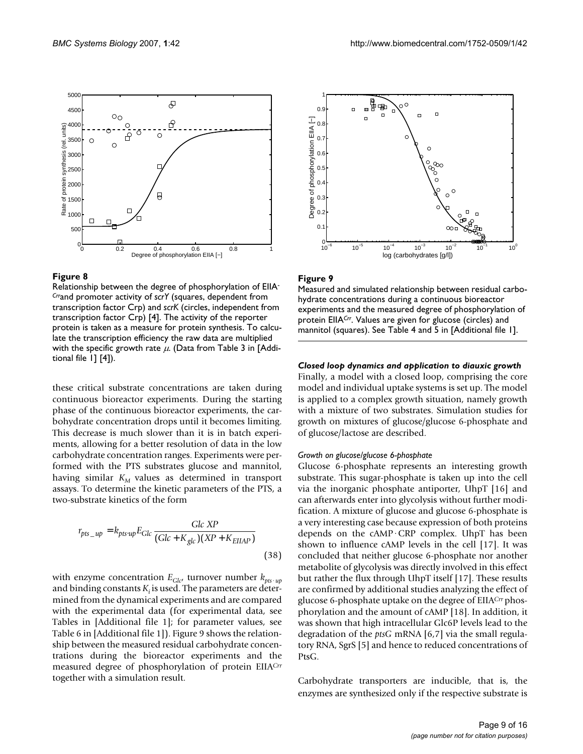

## Figure 8

Relationship between the degree of phosphorylation of EIIA-*Crr*and promoter activity of *scrY* (squares, dependent from transcription factor Crp) and *scrK* (circles, independent from transcription factor Crp) [4]. The activity of the reporter protein is taken as a measure for protein synthesis. To calculate the transcription efficiency the raw data are multiplied with the specific growth rate  $\mu$ . (Data from Table 3 in [Additional file 1] [4]).

these critical substrate concentrations are taken during continuous bioreactor experiments. During the starting phase of the continuous bioreactor experiments, the carbohydrate concentration drops until it becomes limiting. This decrease is much slower than it is in batch experiments, allowing for a better resolution of data in the low carbohydrate concentration ranges. Experiments were performed with the PTS substrates glucose and mannitol, having similar  $K_M$  values as determined in transport assays. To determine the kinetic parameters of the PTS, a two-substrate kinetics of the form

$$
r_{pts\_up} = k_{pts-up} E_{Glc} \frac{Glc \ XP}{(Glc + K_{glc})(XP + K_{EIIAP})}
$$
\n(38)

with enzyme concentration  $E_{G/c}$  turnover number  $k_{pts+up}$ and binding constants  $K_i$  is used. The parameters are determined from the dynamical experiments and are compared with the experimental data (for experimental data, see Tables in [Additional file 1]; for parameter values, see Table 6 in [Additional file 1]). Figure 9 shows the relationship between the measured residual carbohydrate concentrations during the bioreactor experiments and the measured degree of phosphorylation of protein EIIA*Crr* together with a simulation result.



### Figure 9

Measured and simulated relationship between residual carbohydrate concentrations during a continuous bioreactor experiments and the measured degree of phosphorylation of protein EIIA*Crr*. Values are given for glucose (circles) and mannitol (squares). See Table 4 and 5 in [Additional file 1].

#### *Closed loop dynamics and application to diauxic growth*

Finally, a model with a closed loop, comprising the core model and individual uptake systems is set up. The model is applied to a complex growth situation, namely growth with a mixture of two substrates. Simulation studies for growth on mixtures of glucose/glucose 6-phosphate and of glucose/lactose are described.

#### *Growth on glucose/glucose 6-phosphate*

Glucose 6-phosphate represents an interesting growth substrate. This sugar-phosphate is taken up into the cell via the inorganic phosphate antiporter, UhpT [16] and can afterwards enter into glycolysis without further modification. A mixture of glucose and glucose 6-phosphate is a very interesting case because expression of both proteins depends on the cAMP·CRP complex. UhpT has been shown to influence cAMP levels in the cell [17]. It was concluded that neither glucose 6-phosphate nor another metabolite of glycolysis was directly involved in this effect but rather the flux through UhpT itself [17]. These results are confirmed by additional studies analyzing the effect of glucose 6-phosphate uptake on the degree of EIIA*Crr* phosphorylation and the amount of cAMP [18]. In addition, it was shown that high intracellular Glc6P levels lead to the degradation of the *ptsG* mRNA [6,7] via the small regulatory RNA, SgrS [5] and hence to reduced concentrations of PtsG.

Carbohydrate transporters are inducible, that is, the enzymes are synthesized only if the respective substrate is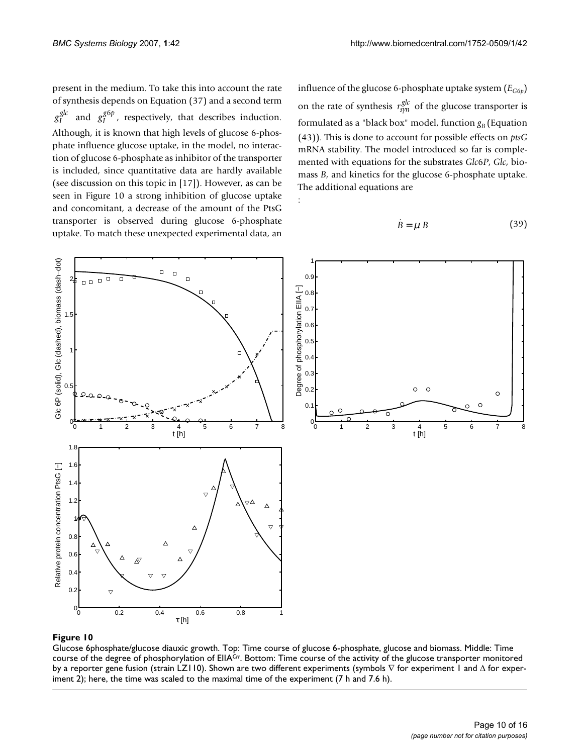present in the medium. To take this into account the rate of synthesis depends on Equation (37) and a second term  $g_I^{glc}$  and  $g_I^{g6p}$ , respectively, that describes induction. Although, it is known that high levels of glucose 6-phosphate influence glucose uptake, in the model, no interaction of glucose 6-phosphate as inhibitor of the transporter is included, since quantitative data are hardly available (see discussion on this topic in [17]). However, as can be seen in Figure 10 a strong inhibition of glucose uptake and concomitant, a decrease of the amount of the PtsG transporter is observed during glucose 6-phosphate uptake. To match these unexpected experimental data, an

influence of the glucose 6-phosphate uptake system  $(E_{G6p})$ on the rate of synthesis  $r_{syn}^{glc}$  of the glucose transporter is formulated as a "black box" model, function  $g_B$  (Equation (43)). This is done to account for possible effects on *ptsG* mRNA stability. The model introduced so far is complemented with equations for the substrates *Glc*6*P*, *Glc*, biomass *B*, and kinetics for the glucose 6-phosphate uptake. The additional equations are

$$
\dot{B} = \mu \ B \tag{39}
$$



:

# Figure 10

Glucose 6phosphate/glucose diauxic growth. Top: Time course of glucose 6-phosphate, glucose and biomass. Middle: Time course of the degree of phosphorylation of EIIA*Crr*. Bottom: Time course of the activity of the glucose transporter monitored by a reporter gene fusion (strain LZ110). Shown are two different experiments (symbols  $\nabla$  for experiment 1 and  $\Delta$  for experiment 2); here, the time was scaled to the maximal time of the experiment (7 h and 7.6 h).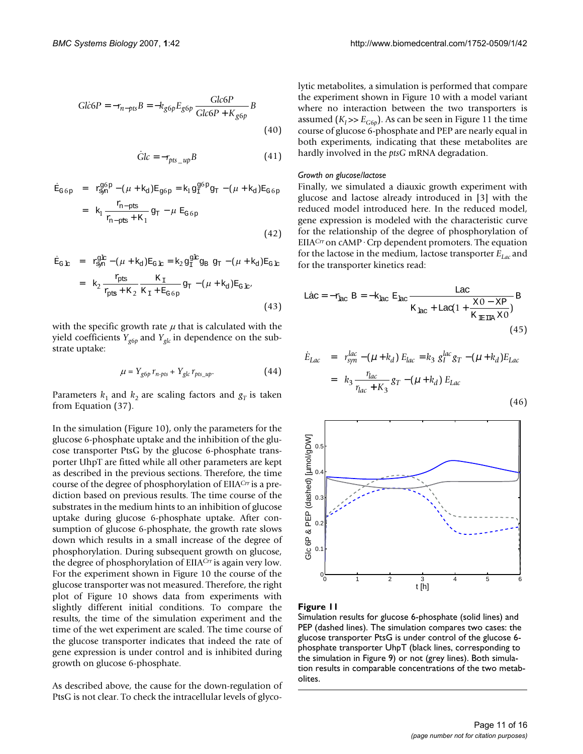$$
Glc6P = -r_{n-pts}B = -k_{g6p}E_{g6p}\frac{Glc6P}{Glc6P + K_{g6p}}B
$$
\n(40)

$$
\dot{G}lc = -r_{pts\_up}B\tag{41}
$$

$$
\dot{E}_{G6p} = r_{Sp}^{g6p} - (\mu + k_d)E_{g6p} = k_1 g_1^{g6p} g_T - (\mu + k_d)E_{G6p}
$$
\n
$$
= k_1 \frac{r_{n-pts}}{r_{n-pts} + K_1} g_T - \mu E_{G6p}
$$
\n(42)

$$
\dot{E}_{G L} = r_{S_2 n}^{S L} - (\mu + k_d) E_{G L} = k_2 g_1^{S L} g_B g_T - (\mu + k_d) E_{G L}
$$
\n
$$
= k_2 \frac{r_{p t s}}{r_{p t s} + K_2} \frac{K_I}{K_I + E_{G 6 p}} g_T - (\mu + k_d) E_{G L'}
$$
\n(43)

with the specific growth rate  $\mu$  that is calculated with the yield coefficients  $Y_{g6p}$  and  $Y_{glc}$  in dependence on the substrate uptake:

$$
\mu = Y_{g6p} r_{n-pts} + Y_{glc} r_{pts\_up}.
$$
 (44)

Parameters  $k_1$  and  $k_2$  are scaling factors and  $g_T$  is taken from Equation (37).

In the simulation (Figure 10), only the parameters for the glucose 6-phosphate uptake and the inhibition of the glucose transporter PtsG by the glucose 6-phosphate transporter UhpT are fitted while all other parameters are kept as described in the previous sections. Therefore, the time course of the degree of phosphorylation of EIIA*Crr* is a prediction based on previous results. The time course of the substrates in the medium hints to an inhibition of glucose uptake during glucose 6-phosphate uptake. After consumption of glucose 6-phosphate, the growth rate slows down which results in a small increase of the degree of phosphorylation. During subsequent growth on glucose, the degree of phosphorylation of EIIA*Crr* is again very low. For the experiment shown in Figure 10 the course of the glucose transporter was not measured. Therefore, the right plot of Figure 10 shows data from experiments with slightly different initial conditions. To compare the results, the time of the simulation experiment and the time of the wet experiment are scaled. The time course of the glucose transporter indicates that indeed the rate of gene expression is under control and is inhibited during growth on glucose 6-phosphate.

As described above, the cause for the down-regulation of PtsG is not clear. To check the intracellular levels of glycolytic metabolites, a simulation is performed that compare the experiment shown in Figure 10 with a model variant where no interaction between the two transporters is assumed  $(K_I \gg E_{G6p})$ . As can be seen in Figure 11 the time course of glucose 6-phosphate and PEP are nearly equal in both experiments, indicating that these metabolites are hardly involved in the *ptsG* mRNA degradation.

#### *Growth on glucose/lactose*

Finally, we simulated a diauxic growth experiment with glucose and lactose already introduced in [3] with the reduced model introduced here. In the reduced model, gene expression is modeled with the characteristic curve for the relationship of the degree of phosphorylation of EIIA*Crr* on cAMP·Crp dependent promoters. The equation for the lactose in the medium, lactose transporter *ELac* and for the transporter kinetics read:

$$
\text{Lac} = -\mathbf{r}_{\text{lac}} \mathbf{B} = -\mathbf{k}_{\text{lac}} \mathbf{E}_{\text{lac}} \frac{\text{Lac}}{K_{\text{lac}} + \text{Laq}(1 + \frac{X0 - XP}{K_{\text{E,IR}} X0})} \mathbf{B}
$$
\n(45)

$$
\dot{E}_{Lac} = r_{syn}^{lac} - (\mu + k_d) E_{lac} = k_3 g_L^{lac} g_T - (\mu + k_d) E_{Lac}
$$
  
=  $k_3 \frac{\eta_{ac}}{\eta_{ac} + K_3} g_T - (\mu + k_d) E_{Lac}$  (46)



#### Figure 11

Simulation results for glucose 6-phosphate (solid lines) and PEP (dashed lines). The simulation compares two cases: the glucose transporter PtsG is under control of the glucose 6 phosphate transporter UhpT (black lines, corresponding to the simulation in Figure 9) or not (grey lines). Both simulation results in comparable concentrations of the two metabolites.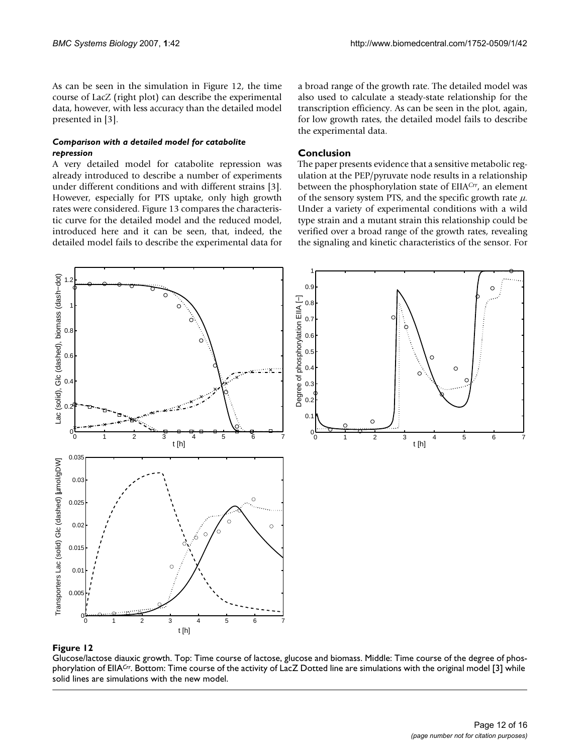As can be seen in the simulation in Figure 12, the time course of LacZ (right plot) can describe the experimental data, however, with less accuracy than the detailed model presented in [3].

# *Comparison with a detailed model for catabolite repression*

A very detailed model for catabolite repression was already introduced to describe a number of experiments under different conditions and with different strains [3]. However, especially for PTS uptake, only high growth rates were considered. Figure 13 compares the characteristic curve for the detailed model and the reduced model, introduced here and it can be seen, that, indeed, the detailed model fails to describe the experimental data for a broad range of the growth rate. The detailed model was also used to calculate a steady-state relationship for the transcription efficiency. As can be seen in the plot, again, for low growth rates, the detailed model fails to describe the experimental data.

# **Conclusion**

The paper presents evidence that a sensitive metabolic regulation at the PEP/pyruvate node results in a relationship between the phosphorylation state of EIIA*Crr*, an element of the sensory system PTS, and the specific growth rate  $\mu$ . Under a variety of experimental conditions with a wild type strain and a mutant strain this relationship could be verified over a broad range of the growth rates, revealing the signaling and kinetic characteristics of the sensor. For



# **Figure 12**

Glucose/lactose diauxic growth. Top: Time course of lactose, glucose and biomass. Middle: Time course of the degree of phosphorylation of EIIA*Crr*. Bottom: Time course of the activity of LacZ Dotted line are simulations with the original model [3] while solid lines are simulations with the new model.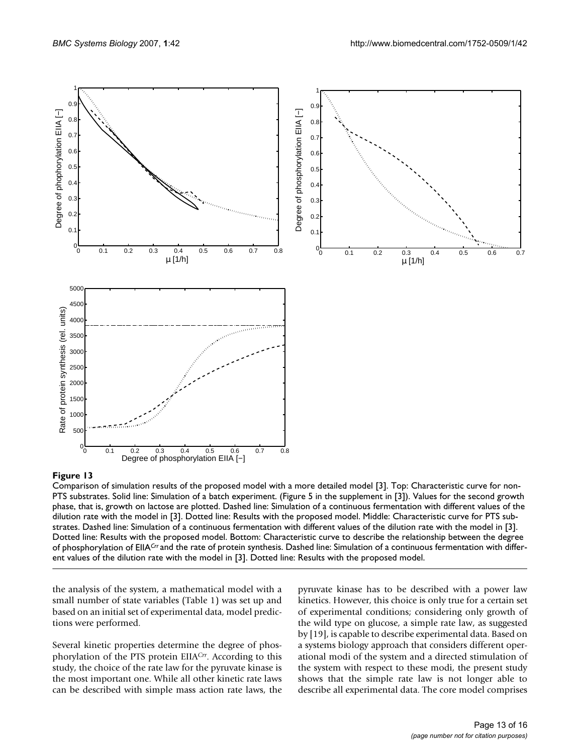

# Comparison of simulation results of the proposed model with a more detailed model [3] **Figure 13**

Comparison of simulation results of the proposed model with a more detailed model [3]. Top: Characteristic curve for non-PTS substrates. Solid line: Simulation of a batch experiment. (Figure 5 in the supplement in [3]). Values for the second growth phase, that is, growth on lactose are plotted. Dashed line: Simulation of a continuous fermentation with different values of the dilution rate with the model in [3]. Dotted line: Results with the proposed model. Middle: Characteristic curve for PTS substrates. Dashed line: Simulation of a continuous fermentation with different values of the dilution rate with the model in [3]. Dotted line: Results with the proposed model. Bottom: Characteristic curve to describe the relationship between the degree of phosphorylation of EIIA*Crr* and the rate of protein synthesis. Dashed line: Simulation of a continuous fermentation with different values of the dilution rate with the model in [3]. Dotted line: Results with the proposed model.

the analysis of the system, a mathematical model with a small number of state variables (Table 1) was set up and based on an initial set of experimental data, model predictions were performed.

Several kinetic properties determine the degree of phosphorylation of the PTS protein EIIA*Crr*. According to this study, the choice of the rate law for the pyruvate kinase is the most important one. While all other kinetic rate laws can be described with simple mass action rate laws, the pyruvate kinase has to be described with a power law kinetics. However, this choice is only true for a certain set of experimental conditions; considering only growth of the wild type on glucose, a simple rate law, as suggested by [19], is capable to describe experimental data. Based on a systems biology approach that considers different operational modi of the system and a directed stimulation of the system with respect to these modi, the present study shows that the simple rate law is not longer able to describe all experimental data. The core model comprises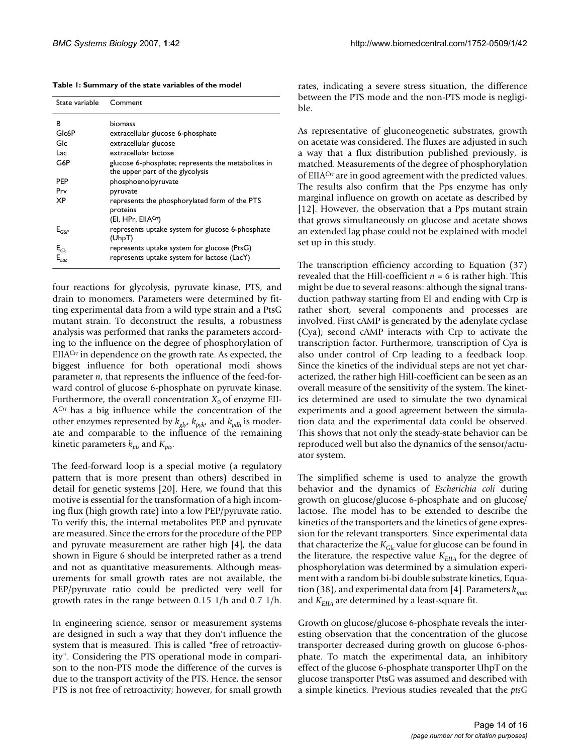| Table 1: Summary of the state variables of the model |  |  |  |
|------------------------------------------------------|--|--|--|
|------------------------------------------------------|--|--|--|

| State variable | Comment                                                                                      |
|----------------|----------------------------------------------------------------------------------------------|
| в              | biomass                                                                                      |
| Glc6P          | extracellular glucose 6-phosphate                                                            |
| Glc            | extracellular glucose                                                                        |
| Lac            | extracellular lactose                                                                        |
| G6P            | glucose 6-phosphate; represents the metabolites in<br>the upper part of the glycolysis       |
| PEP            | phosphoenolpyruvate                                                                          |
| Prv            | pyruvate                                                                                     |
| ХP             | represents the phosphorylated form of the PTS<br>proteins<br>(EI, HPr, EIIA <sup>Crr</sup> ) |
| $E_{C\&P}$     | represents uptake system for glucose 6-phosphate<br>(UhpT)                                   |
| $E_{Glc}$      | represents uptake system for glucose (PtsG)                                                  |
| $E_{loc}$      | represents uptake system for lactose (LacY)                                                  |

four reactions for glycolysis, pyruvate kinase, PTS, and drain to monomers. Parameters were determined by fitting experimental data from a wild type strain and a PtsG mutant strain. To deconstruct the results, a robustness analysis was performed that ranks the parameters according to the influence on the degree of phosphorylation of EIIA*Crr* in dependence on the growth rate. As expected, the biggest influence for both operational modi shows parameter *n*, that represents the influence of the feed-forward control of glucose 6-phosphate on pyruvate kinase. Furthermore, the overall concentration  $X_0$  of enzyme EII-A*Crr* has a big influence while the concentration of the other enzymes represented by  $k_{gly}$ ,  $k_{pyk}$ , and  $k_{pdh}$  is moderate and comparable to the influence of the remaining kinetic parameters  $k_{pts}$  and  $K_{pts}$ .

The feed-forward loop is a special motive (a regulatory pattern that is more present than others) described in detail for genetic systems [20]. Here, we found that this motive is essential for the transformation of a high incoming flux (high growth rate) into a low PEP/pyruvate ratio. To verify this, the internal metabolites PEP and pyruvate are measured. Since the errors for the procedure of the PEP and pyruvate measurement are rather high [\[4\]](#page-14-0), the data shown in Figure 6 should be interpreted rather as a trend and not as quantitative measurements. Although measurements for small growth rates are not available, the PEP/pyruvate ratio could be predicted very well for growth rates in the range between 0.15 1/h and 0.7 1/h.

In engineering science, sensor or measurement systems are designed in such a way that they don't influence the system that is measured. This is called "free of retroactivity". Considering the PTS operational mode in comparison to the non-PTS mode the difference of the curves is due to the transport activity of the PTS. Hence, the sensor PTS is not free of retroactivity; however, for small growth

rates, indicating a severe stress situation, the difference between the PTS mode and the non-PTS mode is negligible.

As representative of gluconeogenetic substrates, growth on acetate was considered. The fluxes are adjusted in such a way that a flux distribution published previously, is matched. Measurements of the degree of phosphorylation of EIIA*Crr* are in good agreement with the predicted values. The results also confirm that the Pps enzyme has only marginal influence on growth on acetate as described by [12]. However, the observation that a Pps mutant strain that grows simultaneously on glucose and acetate shows an extended lag phase could not be explained with model set up in this study.

The transcription efficiency according to Equation (37) revealed that the Hill-coefficient  $n = 6$  is rather high. This might be due to several reasons: although the signal transduction pathway starting from EI and ending with Crp is rather short, several components and processes are involved. First cAMP is generated by the adenylate cyclase (Cya); second cAMP interacts with Crp to activate the transcription factor. Furthermore, transcription of Cya is also under control of Crp leading to a feedback loop. Since the kinetics of the individual steps are not yet characterized, the rather high Hill-coefficient can be seen as an overall measure of the sensitivity of the system. The kinetics determined are used to simulate the two dynamical experiments and a good agreement between the simulation data and the experimental data could be observed. This shows that not only the steady-state behavior can be reproduced well but also the dynamics of the sensor/actuator system.

The simplified scheme is used to analyze the growth behavior and the dynamics of *Escherichia coli* during growth on glucose/glucose 6-phosphate and on glucose/ lactose. The model has to be extended to describe the kinetics of the transporters and the kinetics of gene expression for the relevant transporters. Since experimental data that characterize the  $K_{Glc}$  value for glucose can be found in the literature, the respective value  $K_{EIIA}$  for the degree of phosphorylation was determined by a simulation experiment with a random bi-bi double substrate kinetics, Equa-tion (38), and experimental data from [\[4\]](#page-14-0). Parameters  $k_{max}$ and *KEIIA* are determined by a least-square fit.

Growth on glucose/glucose 6-phosphate reveals the interesting observation that the concentration of the glucose transporter decreased during growth on glucose 6-phosphate. To match the experimental data, an inhibitory effect of the glucose 6-phosphate transporter UhpT on the glucose transporter PtsG was assumed and described with a simple kinetics. Previous studies revealed that the *ptsG*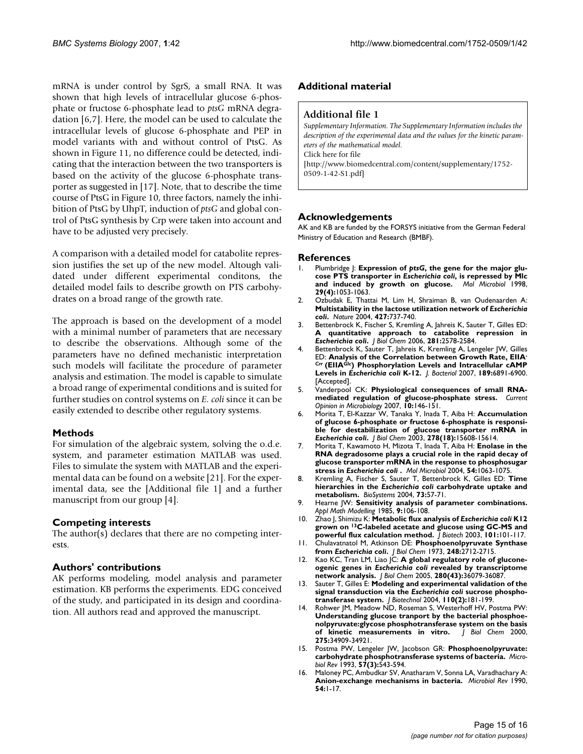mRNA is under control by SgrS, a small RNA. It was shown that high levels of intracellular glucose 6-phosphate or fructose 6-phosphate lead to *ptsG* mRNA degradation [6,7]. Here, the model can be used to calculate the intracellular levels of glucose 6-phosphate and PEP in model variants with and without control of PtsG. As shown in Figure 11, no difference could be detected, indicating that the interaction between the two transporters is based on the activity of the glucose 6-phosphate transporter as suggested in [17]. Note, that to describe the time course of PtsG in Figure 10, three factors, namely the inhibition of PtsG by UhpT, induction of *ptsG* and global control of PtsG synthesis by Crp were taken into account and have to be adjusted very precisely.

A comparison with a detailed model for catabolite repression justifies the set up of the new model. Altough validated under different experimental conditons, the detailed model fails to describe growth on PTS carbohydrates on a broad range of the growth rate.

The approach is based on the development of a model with a minimal number of parameters that are necessary to describe the observations. Although some of the parameters have no defined mechanistic interpretation such models will facilitate the procedure of parameter analysis and estimation. The model is capable to simulate a broad range of experimental conditions and is suited for further studies on control systems on *E. coli* since it can be easily extended to describe other regulatory systems.

# **Methods**

For simulation of the algebraic system, solving the o.d.e. system, and parameter estimation MATLAB was used. Files to simulate the system with MATLAB and the experimental data can be found on a website [21]. For the experimental data, see the [Additional file 1] and a further manuscript from our group [\[4\]](#page-14-0).

# **Competing interests**

The author(s) declares that there are no competing interests.

# **Authors' contributions**

AK performs modeling, model analysis and parameter estimation. KB performs the experiments. EDG conceived of the study, and participated in its design and coordination. All authors read and approved the manuscript.

# **Additional material**

## **Additional file 1**

*Supplementary Information. The Supplementary Information includes the description of the experimental data and the values for the kinetic parameters of the mathematical model.* Click here for file [\[http://www.biomedcentral.com/content/supplementary/1752-](http://www.biomedcentral.com/content/supplementary/1752-0509-1-42-S1.pdf) 0509-1-42-S1.pdf]

# **Acknowledgements**

AK and KB are funded by the FORSYS initiative from the German Federal Ministry of Education and Research (BMBF).

### **References**

- 1. Plumbridge J: **Expression of** *ptsG***, the gene for the major glucose PTS transporter in** *Escherichia coli***[, is repressed by Mlc](http://www.ncbi.nlm.nih.gov/entrez/query.fcgi?cmd=Retrieve&db=PubMed&dopt=Abstract&list_uids=9767573) [and induced by growth on glucose.](http://www.ncbi.nlm.nih.gov/entrez/query.fcgi?cmd=Retrieve&db=PubMed&dopt=Abstract&list_uids=9767573)** *Mol Microbiol* 1998, **29(4):**1053-1063.
- 2. Ozbudak E, Thattai M, Lim H, Shraiman B, van Oudenaarden A: **Multistability in the lactose utilization network of** *Escherichia coli***[.](http://www.ncbi.nlm.nih.gov/entrez/query.fcgi?cmd=Retrieve&db=PubMed&dopt=Abstract&list_uids=14973486)** *Nature* 2004, **427:**737-740.
- 3. Bettenbrock K, Fischer S, Kremling A, Jahreis K, Sauter T, Gilles ED: **A quantitative approach to catabolite repression in** *Escherichia coli***[.](http://www.ncbi.nlm.nih.gov/entrez/query.fcgi?cmd=Retrieve&db=PubMed&dopt=Abstract&list_uids=16263707)** *J Biol Chem* 2006, **281:**2578-2584.
- <span id="page-14-0"></span>4. Bettenbrock K, Sauter T, Jahreis K, Kremling A, Lengeler JW, Gilles ED: **Analysis of the Correlation between Growth Rate, EIIA-***Crr* **(EIIA***Glc***) Phosphorylation Levels and Intracellular cAMP Levels in** *Escherichia coli* **[K-12.](http://www.ncbi.nlm.nih.gov/entrez/query.fcgi?cmd=Retrieve&db=PubMed&dopt=Abstract&list_uids=17675376)** *J. Bacteriol* 2007, **189:**6891-6900. [Accepted].
- 5. Vanderpool CK: **[Physiological consequences of small RNA](http://www.ncbi.nlm.nih.gov/entrez/query.fcgi?cmd=Retrieve&db=PubMed&dopt=Abstract&list_uids=17383224)[mediated regulation of glucose-phosphate stress.](http://www.ncbi.nlm.nih.gov/entrez/query.fcgi?cmd=Retrieve&db=PubMed&dopt=Abstract&list_uids=17383224)** *Current Opinion in Microbiology* 2007, **10:**146-151.
- 6. Morita T, El-Kazzar W, Tanaka Y, Inada T, Aiba H: **Accumulation of glucose 6-phosphate or fructose 6-phosphate is responsible for destabilization of glucose transporter mRNA in** *Escherichia coli***[.](http://www.ncbi.nlm.nih.gov/entrez/query.fcgi?cmd=Retrieve&db=PubMed&dopt=Abstract&list_uids=12578824)** *J Biol Chem* 2003, **278(18):**15608-15614.
- 7. Morita T, Kawamoto H, Mizota T, Inada T, Aiba H: **Enolase in the RNA degradosome plays a crucial role in the rapid decay of glucose transporter mRNA in the response to phosphosugar stress in** *Escherichia coli* **[.](http://www.ncbi.nlm.nih.gov/entrez/query.fcgi?cmd=Retrieve&db=PubMed&dopt=Abstract&list_uids=15522087)** *Mol Microbiol* 2004, **54:**1063-1075.
- 8. Kremling A, Fischer S, Sauter T, Bettenbrock K, Gilles ED: **Time hierarchies in the** *Escherichia coli* **[carbohydrate uptake and](http://www.ncbi.nlm.nih.gov/entrez/query.fcgi?cmd=Retrieve&db=PubMed&dopt=Abstract&list_uids=14729282) [metabolism.](http://www.ncbi.nlm.nih.gov/entrez/query.fcgi?cmd=Retrieve&db=PubMed&dopt=Abstract&list_uids=14729282)** *BioSystems* 2004, **73:**57-71.
- 9. Hearne JW: **Sensitivity analysis of parameter combinations.** *Appl Math Modelling* 1985, **9:**106-108.
- 10. Zhao J, Shimizu K: **Metabolic flux analysis of** *Escherichia coli* **K12 grown on 13C-labeled acetate and glucose using GC-MS and powerful flux calculation method.** *J Biotech* 2003, **101:**101-117.
- 11. Chulavatnatol M, Atkinson DE: **Phosphoenolpyruvate Synthase from** *Escherichia coli***[.](http://www.ncbi.nlm.nih.gov/entrez/query.fcgi?cmd=Retrieve&db=PubMed&dopt=Abstract&list_uids=4572511)** *J Biol Chem* 1973, **248:**2712-2715.
- 12. Kao KC, Tran LM, Liao JC: **A global regulatory role of gluconeogenic genes in** *Escherichia coli* **[revealed by transcriptome](http://www.ncbi.nlm.nih.gov/entrez/query.fcgi?cmd=Retrieve&db=PubMed&dopt=Abstract&list_uids=16141204) [network analysis.](http://www.ncbi.nlm.nih.gov/entrez/query.fcgi?cmd=Retrieve&db=PubMed&dopt=Abstract&list_uids=16141204)** *J Biol Chem* 2005, **280(43):**36079-36087.
- 13. Sauter T, Gilles E: **Modeling and experimental validation of the signal transduction via the** *Escherichia coli* **[sucrose phospho](http://www.ncbi.nlm.nih.gov/entrez/query.fcgi?cmd=Retrieve&db=PubMed&dopt=Abstract&list_uids=15121337)[transferase system.](http://www.ncbi.nlm.nih.gov/entrez/query.fcgi?cmd=Retrieve&db=PubMed&dopt=Abstract&list_uids=15121337)** *J Biotechnol* 2004, **110(2):**181-199.
- 14. Rohwer JM, Meadow ND, Roseman S, Westerhoff HV, Postma PW: **Understanding glucose tranport by the bacterial phosphoe[nolpyruvate:glycose phosphotransferase system on the basis](http://www.ncbi.nlm.nih.gov/entrez/query.fcgi?cmd=Retrieve&db=PubMed&dopt=Abstract&list_uids=10889194)** [of kinetic measurements in vitro.](http://www.ncbi.nlm.nih.gov/entrez/query.fcgi?cmd=Retrieve&db=PubMed&dopt=Abstract&list_uids=10889194) **275:**34909-34921.
- 15. Postma PW, Lengeler JW, Jacobson GR: **[Phosphoenolpyruvate:](http://www.ncbi.nlm.nih.gov/entrez/query.fcgi?cmd=Retrieve&db=PubMed&dopt=Abstract&list_uids=8246840) [carbohydrate phosphotransferase systems of bacteria.](http://www.ncbi.nlm.nih.gov/entrez/query.fcgi?cmd=Retrieve&db=PubMed&dopt=Abstract&list_uids=8246840)** *Microbiol Rev* 1993, **57(3):**543-594.
- 16. Maloney PC, Ambudkar SV, Anatharam V, Sonna LA, Varadhachary A: **[Anion-exchange mechanisms in bacteria.](http://www.ncbi.nlm.nih.gov/entrez/query.fcgi?cmd=Retrieve&db=PubMed&dopt=Abstract&list_uids=2181257)** *Microbiol Rev* 1990, **54:**1-17.